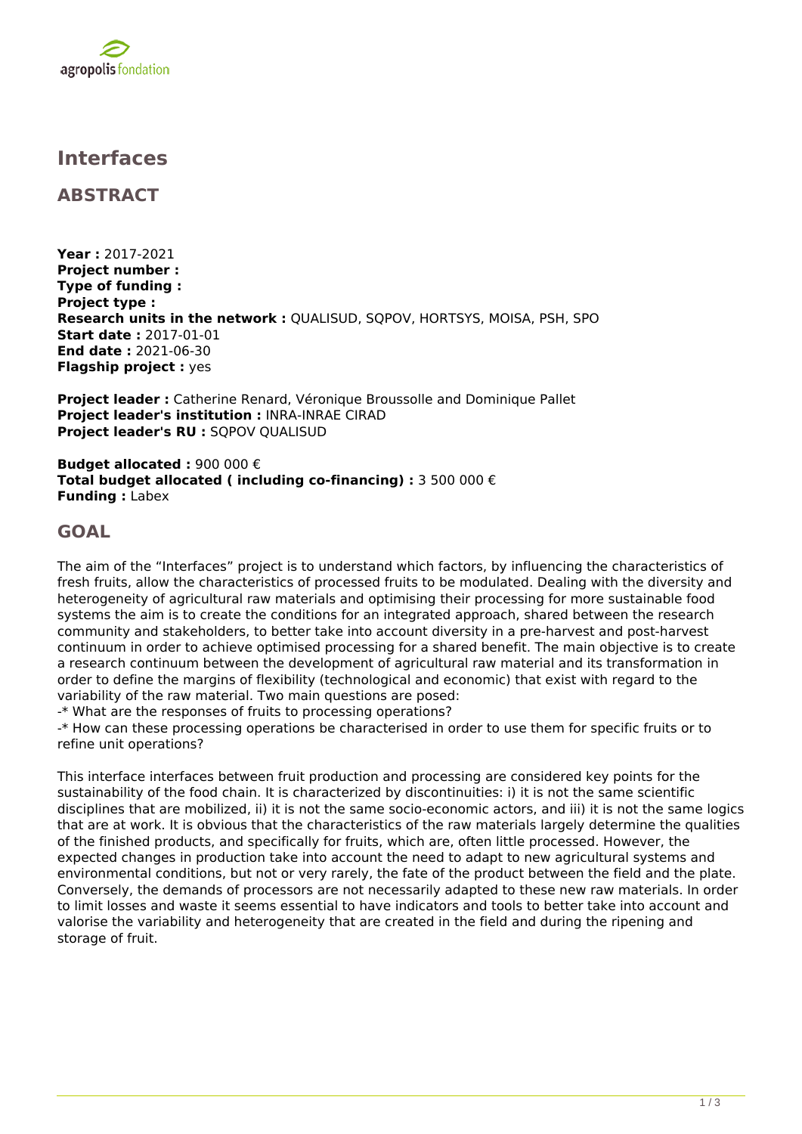

## **Interfaces**

**ABSTRACT**

**Year :** 2017-2021 **Project number : Type of funding : Project type : Research units in the network :** QUALISUD, SQPOV, HORTSYS, MOISA, PSH, SPO **Start date :** 2017-01-01 **End date :** 2021-06-30 **Flagship project :** yes

**Project leader :** Catherine Renard, Véronique Broussolle and Dominique Pallet **Project leader's institution :** INRA-INRAE CIRAD **Project leader's RU :** SQPOV QUALISUD

**Budget allocated :** 900 000 € **Total budget allocated ( including co-financing) :** 3 500 000 € **Funding :** Labex

## **GOAL**

The aim of the "Interfaces" project is to understand which factors, by influencing the characteristics of fresh fruits, allow the characteristics of processed fruits to be modulated. Dealing with the diversity and heterogeneity of agricultural raw materials and optimising their processing for more sustainable food systems the aim is to create the conditions for an integrated approach, shared between the research community and stakeholders, to better take into account diversity in a pre-harvest and post-harvest continuum in order to achieve optimised processing for a shared benefit. The main objective is to create a research continuum between the development of agricultural raw material and its transformation in order to define the margins of flexibility (technological and economic) that exist with regard to the variability of the raw material. Two main questions are posed:

-\* What are the responses of fruits to processing operations?

-\* How can these processing operations be characterised in order to use them for specific fruits or to refine unit operations?

This interface interfaces between fruit production and processing are considered key points for the sustainability of the food chain. It is characterized by discontinuities: i) it is not the same scientific disciplines that are mobilized, ii) it is not the same socio-economic actors, and iii) it is not the same logics that are at work. It is obvious that the characteristics of the raw materials largely determine the qualities of the finished products, and specifically for fruits, which are, often little processed. However, the expected changes in production take into account the need to adapt to new agricultural systems and environmental conditions, but not or very rarely, the fate of the product between the field and the plate. Conversely, the demands of processors are not necessarily adapted to these new raw materials. In order to limit losses and waste it seems essential to have indicators and tools to better take into account and valorise the variability and heterogeneity that are created in the field and during the ripening and storage of fruit.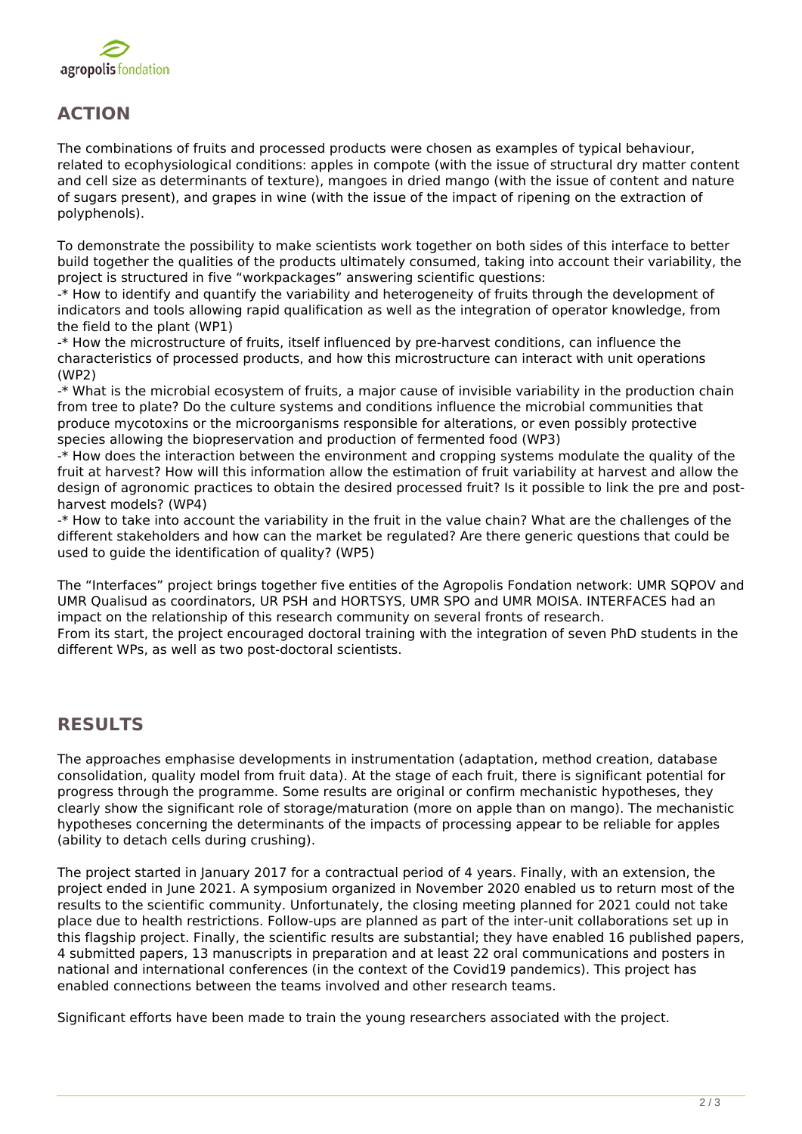

## **ACTION**

The combinations of fruits and processed products were chosen as examples of typical behaviour, related to ecophysiological conditions: apples in compote (with the issue of structural dry matter content and cell size as determinants of texture), mangoes in dried mango (with the issue of content and nature of sugars present), and grapes in wine (with the issue of the impact of ripening on the extraction of polyphenols).

To demonstrate the possibility to make scientists work together on both sides of this interface to better build together the qualities of the products ultimately consumed, taking into account their variability, the project is structured in five "workpackages" answering scientific questions:

-\* How to identify and quantify the variability and heterogeneity of fruits through the development of indicators and tools allowing rapid qualification as well as the integration of operator knowledge, from the field to the plant (WP1)

-\* How the microstructure of fruits, itself influenced by pre-harvest conditions, can influence the characteristics of processed products, and how this microstructure can interact with unit operations (WP2)

-\* What is the microbial ecosystem of fruits, a major cause of invisible variability in the production chain from tree to plate? Do the culture systems and conditions influence the microbial communities that produce mycotoxins or the microorganisms responsible for alterations, or even possibly protective species allowing the biopreservation and production of fermented food (WP3)

-\* How does the interaction between the environment and cropping systems modulate the quality of the fruit at harvest? How will this information allow the estimation of fruit variability at harvest and allow the design of agronomic practices to obtain the desired processed fruit? Is it possible to link the pre and postharvest models? (WP4)

-\* How to take into account the variability in the fruit in the value chain? What are the challenges of the different stakeholders and how can the market be regulated? Are there generic questions that could be used to guide the identification of quality? (WP5)

The "Interfaces" project brings together five entities of the Agropolis Fondation network: UMR SQPOV and UMR Qualisud as coordinators, UR PSH and HORTSYS, UMR SPO and UMR MOISA. INTERFACES had an impact on the relationship of this research community on several fronts of research.

From its start, the project encouraged doctoral training with the integration of seven PhD students in the different WPs, as well as two post-doctoral scientists.

## **RESULTS**

The approaches emphasise developments in instrumentation (adaptation, method creation, database consolidation, quality model from fruit data). At the stage of each fruit, there is significant potential for progress through the programme. Some results are original or confirm mechanistic hypotheses, they clearly show the significant role of storage/maturation (more on apple than on mango). The mechanistic hypotheses concerning the determinants of the impacts of processing appear to be reliable for apples (ability to detach cells during crushing).

The project started in January 2017 for a contractual period of 4 years. Finally, with an extension, the project ended in June 2021. A symposium organized in November 2020 enabled us to return most of the results to the scientific community. Unfortunately, the closing meeting planned for 2021 could not take place due to health restrictions. Follow-ups are planned as part of the inter-unit collaborations set up in this flagship project. Finally, the scientific results are substantial; they have enabled 16 published papers, 4 submitted papers, 13 manuscripts in preparation and at least 22 oral communications and posters in national and international conferences (in the context of the Covid19 pandemics). This project has enabled connections between the teams involved and other research teams.

Significant efforts have been made to train the young researchers associated with the project.